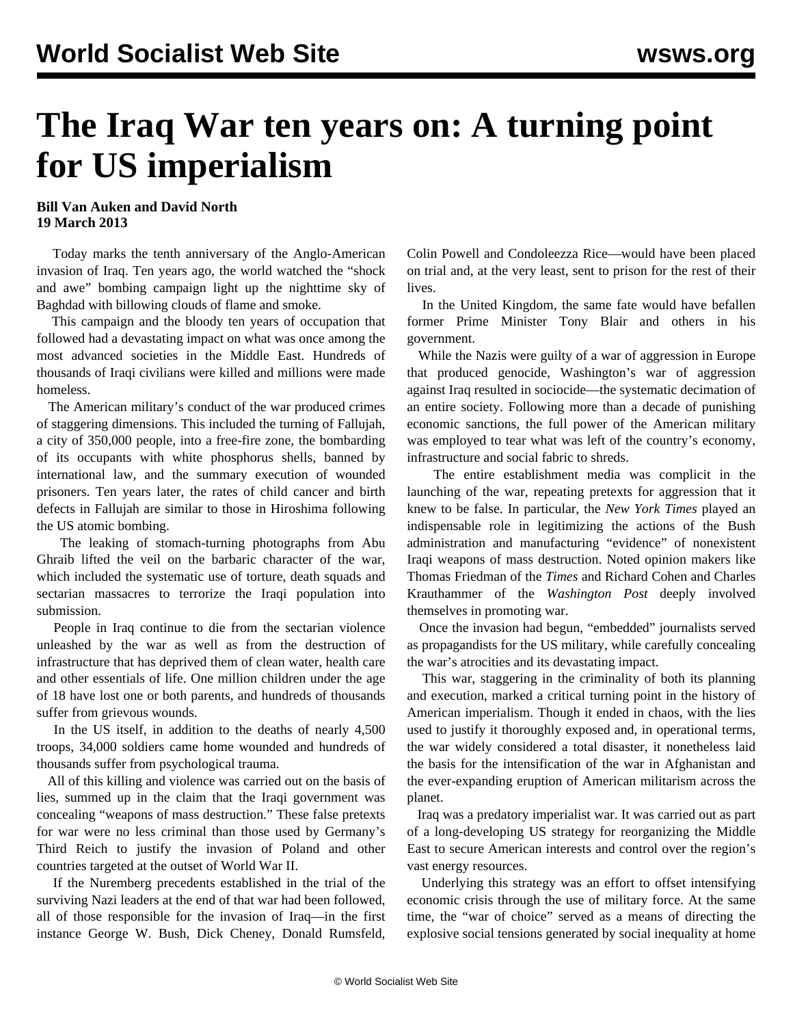## **The Iraq War ten years on: A turning point for US imperialism**

## **Bill Van Auken and David North 19 March 2013**

 Today marks the tenth anniversary of the Anglo-American invasion of Iraq. Ten years ago, the world watched the "shock and awe" bombing campaign light up the nighttime sky of Baghdad with billowing clouds of flame and smoke.

 This campaign and the bloody ten years of occupation that followed had a devastating impact on what was once among the most advanced societies in the Middle East. Hundreds of thousands of Iraqi civilians were killed and millions were made homeless.

 The American military's conduct of the war produced crimes of staggering dimensions. This included the turning of Fallujah, a city of 350,000 people, into a free-fire zone, the bombarding of its occupants with white phosphorus shells, banned by international law, and the summary execution of wounded prisoners. Ten years later, the rates of child cancer and birth defects in Fallujah are similar to those in Hiroshima following the US atomic bombing.

 The leaking of stomach-turning photographs from Abu Ghraib lifted the veil on the barbaric character of the war, which included the systematic use of torture, death squads and sectarian massacres to terrorize the Iraqi population into submission.

 People in Iraq continue to die from the sectarian violence unleashed by the war as well as from the destruction of infrastructure that has deprived them of clean water, health care and other essentials of life. One million children under the age of 18 have lost one or both parents, and hundreds of thousands suffer from grievous wounds.

 In the US itself, in addition to the deaths of nearly 4,500 troops, 34,000 soldiers came home wounded and hundreds of thousands suffer from psychological trauma.

 All of this killing and violence was carried out on the basis of lies, summed up in the claim that the Iraqi government was concealing "weapons of mass destruction." These false pretexts for war were no less criminal than those used by Germany's Third Reich to justify the invasion of Poland and other countries targeted at the outset of World War II.

 If the Nuremberg precedents established in the trial of the surviving Nazi leaders at the end of that war had been followed, all of those responsible for the invasion of Iraq—in the first instance George W. Bush, Dick Cheney, Donald Rumsfeld, Colin Powell and Condoleezza Rice—would have been placed on trial and, at the very least, sent to prison for the rest of their lives.

 In the United Kingdom, the same fate would have befallen former Prime Minister Tony Blair and others in his government.

 While the Nazis were guilty of a war of aggression in Europe that produced genocide, Washington's war of aggression against Iraq resulted in sociocide—the systematic decimation of an entire society. Following more than a decade of punishing economic sanctions, the full power of the American military was employed to tear what was left of the country's economy, infrastructure and social fabric to shreds.

 The entire establishment media was complicit in the launching of the war, repeating pretexts for aggression that it knew to be false. In particular, the *New York Times* played an indispensable role in legitimizing the actions of the Bush administration and manufacturing "evidence" of nonexistent Iraqi weapons of mass destruction. Noted opinion makers like Thomas Friedman of the *Times* and Richard Cohen and Charles Krauthammer of the *Washington Post* deeply involved themselves in promoting war.

 Once the invasion had begun, "embedded" journalists served as propagandists for the US military, while carefully concealing the war's atrocities and its devastating impact.

 This war, staggering in the criminality of both its planning and execution, marked a critical turning point in the history of American imperialism. Though it ended in chaos, with the lies used to justify it thoroughly exposed and, in operational terms, the war widely considered a total disaster, it nonetheless laid the basis for the intensification of the war in Afghanistan and the ever-expanding eruption of American militarism across the planet.

 Iraq was a predatory imperialist war. It was carried out as part of a long-developing US strategy for reorganizing the Middle East to secure American interests and control over the region's vast energy resources.

 Underlying this strategy was an effort to offset intensifying economic crisis through the use of military force. At the same time, the "war of choice" served as a means of directing the explosive social tensions generated by social inequality at home